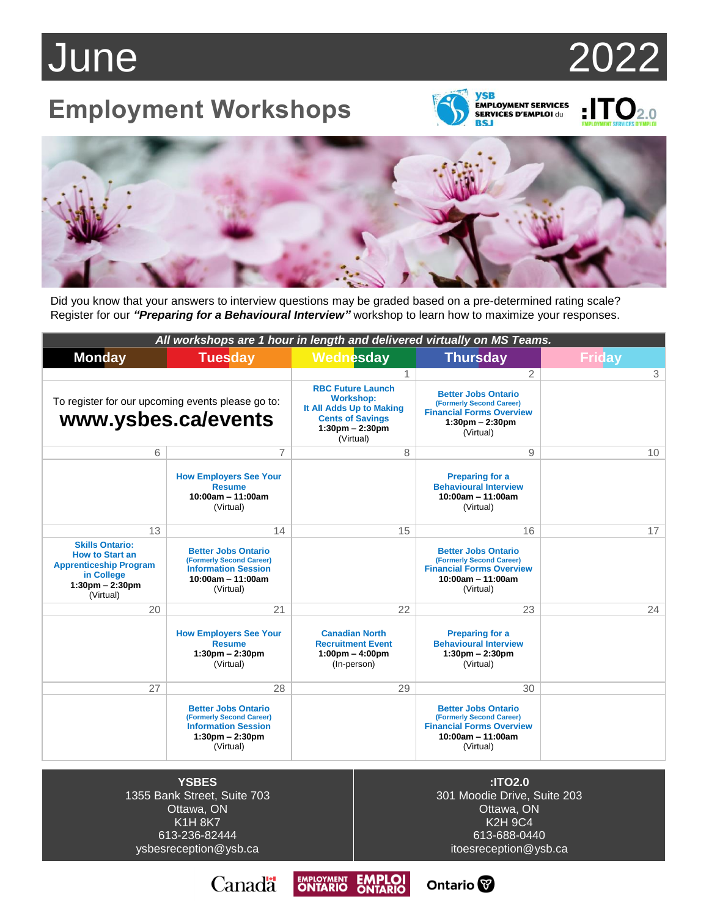# June 2022

### **Employment Workshops**



## $\sum_{\text{EMPI OVMET} \text{ CPMPC FS}} 2.0$



Did you know that your answers to interview questions may be graded based on a pre-determined rating scale? Register for our *"Preparing for a Behavioural Interview"* workshop to learn how to maximize your responses.

| All workshops are 1 hour in length and delivered virtually on MS Teams.                                                           |                                                                                                                                        |                                                                                                                                                       |                                                                                                                                             |               |
|-----------------------------------------------------------------------------------------------------------------------------------|----------------------------------------------------------------------------------------------------------------------------------------|-------------------------------------------------------------------------------------------------------------------------------------------------------|---------------------------------------------------------------------------------------------------------------------------------------------|---------------|
| <b>Monday</b>                                                                                                                     | <b>Tuesday</b>                                                                                                                         | Wednesday                                                                                                                                             | <b>Thursday</b>                                                                                                                             | <b>Friday</b> |
|                                                                                                                                   |                                                                                                                                        | 1                                                                                                                                                     | $\overline{2}$                                                                                                                              | 3             |
| To register for our upcoming events please go to:<br>www.ysbes.ca/events                                                          |                                                                                                                                        | <b>RBC Future Launch</b><br><b>Workshop:</b><br>It All Adds Up to Making<br><b>Cents of Savings</b><br>$1:30 \text{pm} - 2:30 \text{pm}$<br>(Virtual) | <b>Better Jobs Ontario</b><br>(Formerly Second Career)<br><b>Financial Forms Overview</b><br>$1:30 \text{pm} - 2:30 \text{pm}$<br>(Virtual) |               |
| 6                                                                                                                                 | 7                                                                                                                                      | 8                                                                                                                                                     | 9                                                                                                                                           | 10            |
|                                                                                                                                   | <b>How Employers See Your</b><br><b>Resume</b><br>$10:00am - 11:00am$<br>(Virtual)                                                     |                                                                                                                                                       | <b>Preparing for a</b><br><b>Behavioural Interview</b><br>$10:00am - 11:00am$<br>(Virtual)                                                  |               |
| 13                                                                                                                                | 14                                                                                                                                     | 15                                                                                                                                                    | 16                                                                                                                                          | 17            |
| <b>Skills Ontario:</b><br><b>How to Start an</b><br><b>Apprenticeship Program</b><br>in College<br>$1:30pm - 2:30pm$<br>(Virtual) | <b>Better Jobs Ontario</b><br>(Formerly Second Career)<br><b>Information Session</b><br>$10:00am - 11:00am$<br>(Virtual)               |                                                                                                                                                       | <b>Better Jobs Ontario</b><br>(Formerly Second Career)<br><b>Financial Forms Overview</b><br>$10:00am - 11:00am$<br>(Virtual)               |               |
| 20                                                                                                                                | 21                                                                                                                                     | 22                                                                                                                                                    | 23                                                                                                                                          | 24            |
|                                                                                                                                   | <b>How Employers See Your</b><br><b>Resume</b><br>$1:30 \text{pm} - 2:30 \text{pm}$<br>(Virtual)                                       | <b>Canadian North</b><br><b>Recruitment Event</b><br>$1:00 \text{pm} - 4:00 \text{pm}$<br>(In-person)                                                 | <b>Preparing for a</b><br><b>Behavioural Interview</b><br>$1:30$ pm $- 2:30$ pm<br>(Virtual)                                                |               |
| 27                                                                                                                                | 28                                                                                                                                     | 29                                                                                                                                                    | 30                                                                                                                                          |               |
|                                                                                                                                   | <b>Better Jobs Ontario</b><br>(Formerly Second Career)<br><b>Information Session</b><br>$1:30 \text{pm} - 2:30 \text{pm}$<br>(Virtual) |                                                                                                                                                       | <b>Better Jobs Ontario</b><br>(Formerly Second Career)<br><b>Financial Forms Overview</b><br>$10:00am - 11:00am$<br>(Virtual)               |               |

**YSBES** 1355 Bank Street, Suite 703 Ottawa, ON K1H 8K7 613-236-82444 ysbesreception@ysb.ca

**:ITO2.0** 301 Moodie Drive, Suite 203 Ottawa, ON K2H 9C4 613-688-0440 itoesreception@ysb.ca

Ontario<sup>®</sup>